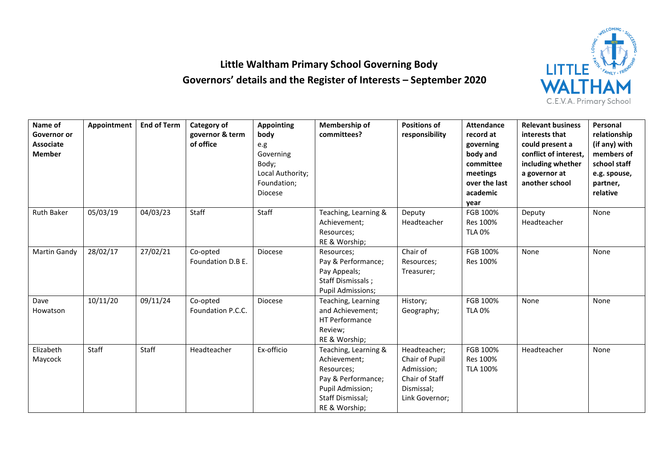

## **Little Waltham Primary School Governing Body Governors' details and the Register of Interests – September 2020**

| Name of<br>Governor or<br><b>Associate</b><br><b>Member</b> | Appointment | <b>End of Term</b> | Category of<br>governor & term<br>of office | <b>Appointing</b><br>body<br>e.g<br>Governing<br>Body;<br>Local Authority;<br>Foundation;<br><b>Diocese</b> | Membership of<br>committees?                                                                                                      | <b>Positions of</b><br>responsibility                                                          | <b>Attendance</b><br>record at<br>governing<br>body and<br>committee<br>meetings<br>over the last<br>academic<br>year | <b>Relevant business</b><br>interests that<br>could present a<br>conflict of interest,<br>including whether<br>a governor at<br>another school | Personal<br>relationship<br>(if any) with<br>members of<br>school staff<br>e.g. spouse,<br>partner,<br>relative |
|-------------------------------------------------------------|-------------|--------------------|---------------------------------------------|-------------------------------------------------------------------------------------------------------------|-----------------------------------------------------------------------------------------------------------------------------------|------------------------------------------------------------------------------------------------|-----------------------------------------------------------------------------------------------------------------------|------------------------------------------------------------------------------------------------------------------------------------------------|-----------------------------------------------------------------------------------------------------------------|
| <b>Ruth Baker</b>                                           | 05/03/19    | 04/03/23           | Staff                                       | Staff                                                                                                       | Teaching, Learning &<br>Achievement;<br>Resources;<br>RE & Worship;                                                               | Deputy<br>Headteacher                                                                          | FGB 100%<br>Res 100%<br><b>TLA 0%</b>                                                                                 | Deputy<br>Headteacher                                                                                                                          | None                                                                                                            |
| Martin Gandy                                                | 28/02/17    | 27/02/21           | Co-opted<br>Foundation D.B E.               | <b>Diocese</b>                                                                                              | Resources;<br>Pay & Performance;<br>Pay Appeals;<br>Staff Dismissals;<br><b>Pupil Admissions;</b>                                 | Chair of<br>Resources;<br>Treasurer;                                                           | FGB 100%<br>Res 100%                                                                                                  | None                                                                                                                                           | None                                                                                                            |
| Dave<br>Howatson                                            | 10/11/20    | 09/11/24           | Co-opted<br>Foundation P.C.C.               | Diocese                                                                                                     | Teaching, Learning<br>and Achievement;<br><b>HT Performance</b><br>Review;<br>RE & Worship;                                       | History;<br>Geography;                                                                         | FGB 100%<br><b>TLA 0%</b>                                                                                             | None                                                                                                                                           | None                                                                                                            |
| Elizabeth<br>Maycock                                        | Staff       | Staff              | Headteacher                                 | Ex-officio                                                                                                  | Teaching, Learning &<br>Achievement;<br>Resources;<br>Pay & Performance;<br>Pupil Admission;<br>Staff Dismissal;<br>RE & Worship; | Headteacher;<br>Chair of Pupil<br>Admission;<br>Chair of Staff<br>Dismissal;<br>Link Governor; | FGB 100%<br>Res 100%<br><b>TLA 100%</b>                                                                               | Headteacher                                                                                                                                    | None                                                                                                            |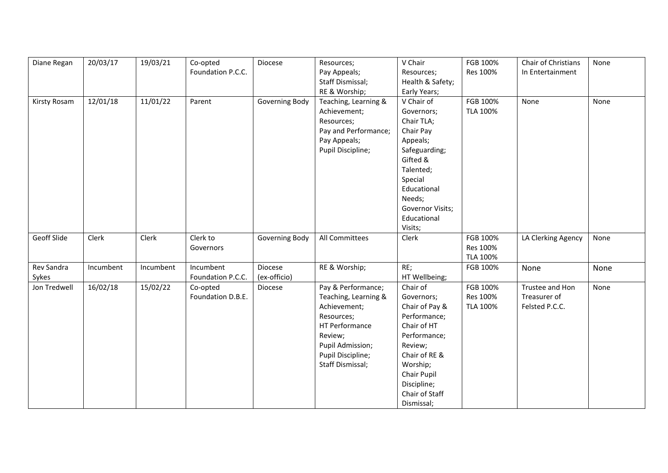| Diane Regan         | 20/03/17  | 19/03/21  | Co-opted<br>Foundation P.C.C.  | Diocese                 | Resources;<br>Pay Appeals;<br>Staff Dismissal;<br>RE & Worship;                                                                                                    | V Chair<br>Resources;<br>Health & Safety;<br>Early Years;                                                                                                                                     | FGB 100%<br>Res 100%             | Chair of Christians<br>In Entertainment           | None |
|---------------------|-----------|-----------|--------------------------------|-------------------------|--------------------------------------------------------------------------------------------------------------------------------------------------------------------|-----------------------------------------------------------------------------------------------------------------------------------------------------------------------------------------------|----------------------------------|---------------------------------------------------|------|
| Kirsty Rosam        | 12/01/18  | 11/01/22  | Parent                         | Governing Body          | Teaching, Learning &<br>Achievement;<br>Resources;<br>Pay and Performance;<br>Pay Appeals;<br>Pupil Discipline;                                                    | V Chair of<br>Governors;<br>Chair TLA;<br>Chair Pay<br>Appeals;<br>Safeguarding;<br>Gifted &<br>Talented;<br>Special<br>Educational<br>Needs;<br>Governor Visits;<br>Educational<br>Visits;   | FGB 100%<br>TLA 100%             | None                                              | None |
| Geoff Slide         | Clerk     | Clerk     | Clerk to<br>Governors          | Governing Body          | All Committees                                                                                                                                                     | Clerk                                                                                                                                                                                         | FGB 100%<br>Res 100%<br>TLA 100% | LA Clerking Agency                                | None |
| Rev Sandra<br>Sykes | Incumbent | Incumbent | Incumbent<br>Foundation P.C.C. | Diocese<br>(ex-officio) | RE & Worship;                                                                                                                                                      | RE;<br>HT Wellbeing;                                                                                                                                                                          | FGB 100%                         | None                                              | None |
| Jon Tredwell        | 16/02/18  | 15/02/22  | Co-opted<br>Foundation D.B.E.  | Diocese                 | Pay & Performance;<br>Teaching, Learning &<br>Achievement;<br>Resources;<br>HT Performance<br>Review;<br>Pupil Admission;<br>Pupil Discipline;<br>Staff Dismissal; | Chair of<br>Governors;<br>Chair of Pay &<br>Performance;<br>Chair of HT<br>Performance;<br>Review;<br>Chair of RE &<br>Worship;<br>Chair Pupil<br>Discipline;<br>Chair of Staff<br>Dismissal; | FGB 100%<br>Res 100%<br>TLA 100% | Trustee and Hon<br>Treasurer of<br>Felsted P.C.C. | None |